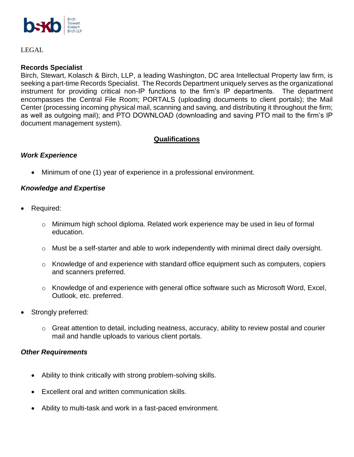

LEGAL

#### **Records Specialist**

Birch, Stewart, Kolasch & Birch, LLP, a leading Washington, DC area Intellectual Property law firm, is seeking a part-time Records Specialist. The Records Department uniquely serves as the organizational instrument for providing critical non-IP functions to the firm's IP departments. The department encompasses the Central File Room; PORTALS (uploading documents to client portals); the Mail Center (processing incoming physical mail, scanning and saving, and distributing it throughout the firm; as well as outgoing mail); and PTO DOWNLOAD (downloading and saving PTO mail to the firm's IP document management system).

# **Qualifications**

### *Work Experience*

• Minimum of one (1) year of experience in a professional environment.

### *Knowledge and Expertise*

- Required:
	- o Minimum high school diploma. Related work experience may be used in lieu of formal education.
	- $\circ$  Must be a self-starter and able to work independently with minimal direct daily oversight.
	- $\circ$  Knowledge of and experience with standard office equipment such as computers, copiers and scanners preferred.
	- o Knowledge of and experience with general office software such as Microsoft Word, Excel, Outlook, etc. preferred.
- Strongly preferred:
	- $\circ$  Great attention to detail, including neatness, accuracy, ability to review postal and courier mail and handle uploads to various client portals.

### *Other Requirements*

- Ability to think critically with strong problem-solving skills.
- Excellent oral and written communication skills.
- Ability to multi-task and work in a fast-paced environment.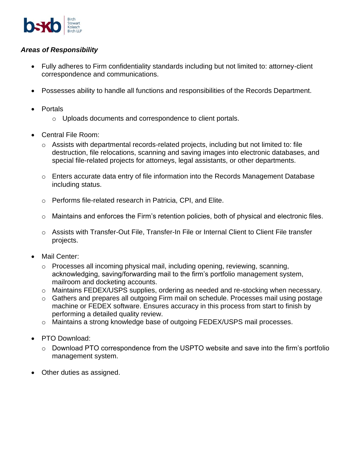

# *Areas of Responsibility*

- Fully adheres to Firm confidentiality standards including but not limited to: attorney-client correspondence and communications.
- Possesses ability to handle all functions and responsibilities of the Records Department.
- Portals
	- o Uploads documents and correspondence to client portals.
- Central File Room:
	- $\circ$  Assists with departmental records-related projects, including but not limited to: file destruction, file relocations, scanning and saving images into electronic databases, and special file-related projects for attorneys, legal assistants, or other departments.
	- $\circ$  Enters accurate data entry of file information into the Records Management Database including status.
	- o Performs file-related research in Patricia, CPI, and Elite.
	- o Maintains and enforces the Firm's retention policies, both of physical and electronic files.
	- o Assists with Transfer-Out File, Transfer-In File or Internal Client to Client File transfer projects.
- Mail Center:
	- o Processes all incoming physical mail, including opening, reviewing, scanning, acknowledging, saving/forwarding mail to the firm's portfolio management system, mailroom and docketing accounts.
	- o Maintains FEDEX/USPS supplies, ordering as needed and re-stocking when necessary.
	- o Gathers and prepares all outgoing Firm mail on schedule. Processes mail using postage machine or FEDEX software. Ensures accuracy in this process from start to finish by performing a detailed quality review.
	- o Maintains a strong knowledge base of outgoing FEDEX/USPS mail processes.
- PTO Download:
	- $\circ$  Download PTO correspondence from the USPTO website and save into the firm's portfolio management system.
- Other duties as assigned.